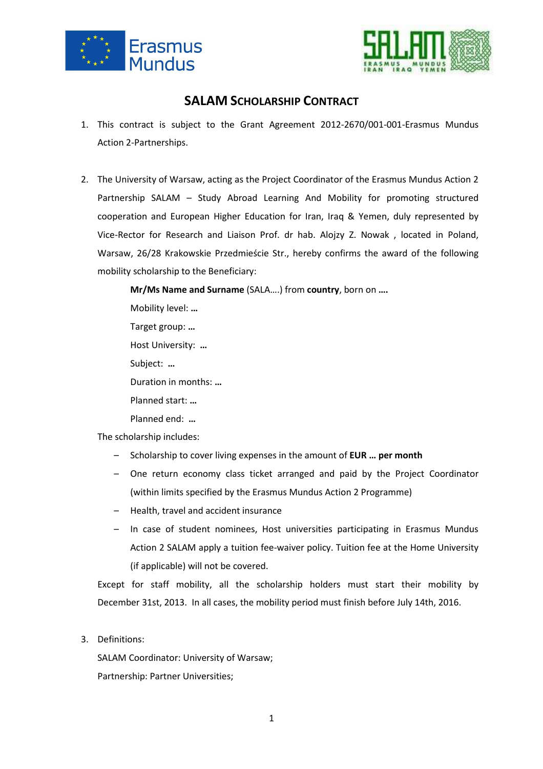



## **SALAM SCHOLARSHIP CONTRACT**

- 1. This contract is subject to the Grant Agreement 2012-2670/001-001-Erasmus Mundus Action 2-Partnerships.
- 2. The University of Warsaw, acting as the Project Coordinator of the Erasmus Mundus Action 2 Partnership SALAM – Study Abroad Learning And Mobility for promoting structured cooperation and European Higher Education for Iran, Iraq & Yemen, duly represented by Vice-Rector for Research and Liaison Prof. dr hab. Alojzy Z. Nowak , located in Poland, Warsaw, 26/28 Krakowskie Przedmieście Str., hereby confirms the award of the following mobility scholarship to the Beneficiary:

**Mr/Ms Name and Surname** (SALA….) from **country**, born on **….**

Mobility level: **…** 

Target group: **…** 

Host University: **…** 

Subject: **…** 

Duration in months: **…** 

- Planned start: **…**
- Planned end: **…**

The scholarship includes:

- Scholarship to cover living expenses in the amount of **EUR … per month**
- One return economy class ticket arranged and paid by the Project Coordinator (within limits specified by the Erasmus Mundus Action 2 Programme)
- Health, travel and accident insurance
- In case of student nominees, Host universities participating in Erasmus Mundus Action 2 SALAM apply a tuition fee-waiver policy. Tuition fee at the Home University (if applicable) will not be covered.

Except for staff mobility, all the scholarship holders must start their mobility by December 31st, 2013. In all cases, the mobility period must finish before July 14th, 2016.

3. Definitions:

SALAM Coordinator: University of Warsaw; Partnership: Partner Universities;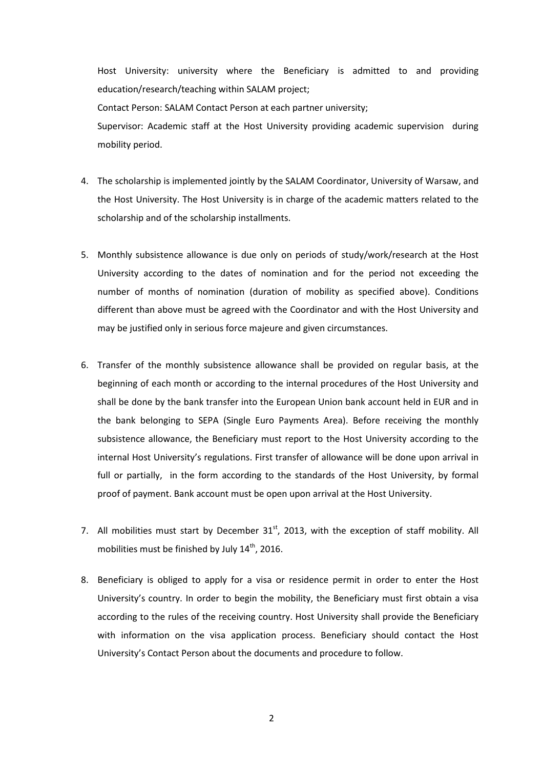Host University: university where the Beneficiary is admitted to and providing education/research/teaching within SALAM project; Contact Person: SALAM Contact Person at each partner university; Supervisor: Academic staff at the Host University providing academic supervision during mobility period.

- 4. The scholarship is implemented jointly by the SALAM Coordinator, University of Warsaw, and the Host University. The Host University is in charge of the academic matters related to the scholarship and of the scholarship installments.
- 5. Monthly subsistence allowance is due only on periods of study/work/research at the Host University according to the dates of nomination and for the period not exceeding the number of months of nomination (duration of mobility as specified above). Conditions different than above must be agreed with the Coordinator and with the Host University and may be justified only in serious force majeure and given circumstances.
- 6. Transfer of the monthly subsistence allowance shall be provided on regular basis, at the beginning of each month or according to the internal procedures of the Host University and shall be done by the bank transfer into the European Union bank account held in EUR and in the bank belonging to SEPA (Single Euro Payments Area). Before receiving the monthly subsistence allowance, the Beneficiary must report to the Host University according to the internal Host University's regulations. First transfer of allowance will be done upon arrival in full or partially, in the form according to the standards of the Host University, by formal proof of payment. Bank account must be open upon arrival at the Host University.
- 7. All mobilities must start by December  $31<sup>st</sup>$ , 2013, with the exception of staff mobility. All mobilities must be finished by July  $14<sup>th</sup>$ , 2016.
- 8. Beneficiary is obliged to apply for a visa or residence permit in order to enter the Host University's country. In order to begin the mobility, the Beneficiary must first obtain a visa according to the rules of the receiving country. Host University shall provide the Beneficiary with information on the visa application process. Beneficiary should contact the Host University's Contact Person about the documents and procedure to follow.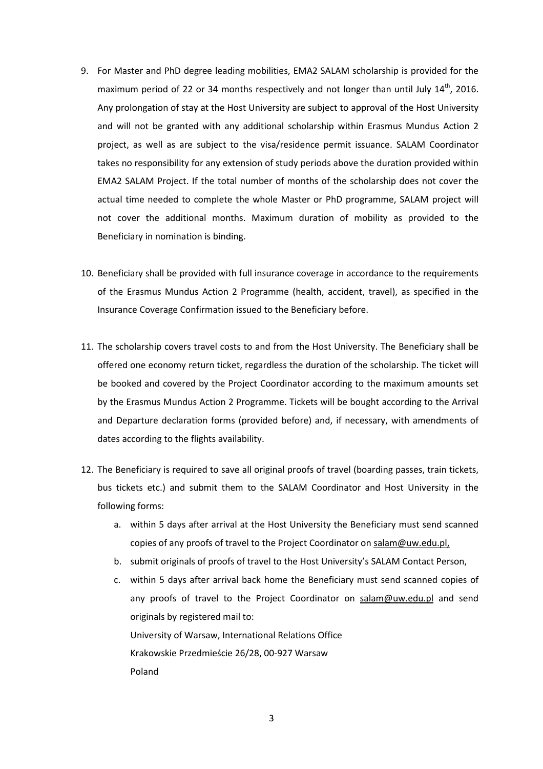- 9. For Master and PhD degree leading mobilities, EMA2 SALAM scholarship is provided for the maximum period of 22 or 34 months respectively and not longer than until July  $14<sup>th</sup>$ , 2016. Any prolongation of stay at the Host University are subject to approval of the Host University and will not be granted with any additional scholarship within Erasmus Mundus Action 2 project, as well as are subject to the visa/residence permit issuance. SALAM Coordinator takes no responsibility for any extension of study periods above the duration provided within EMA2 SALAM Project. If the total number of months of the scholarship does not cover the actual time needed to complete the whole Master or PhD programme, SALAM project will not cover the additional months. Maximum duration of mobility as provided to the Beneficiary in nomination is binding.
- 10. Beneficiary shall be provided with full insurance coverage in accordance to the requirements of the Erasmus Mundus Action 2 Programme (health, accident, travel), as specified in the Insurance Coverage Confirmation issued to the Beneficiary before.
- 11. The scholarship covers travel costs to and from the Host University. The Beneficiary shall be offered one economy return ticket, regardless the duration of the scholarship. The ticket will be booked and covered by the Project Coordinator according to the maximum amounts set by the Erasmus Mundus Action 2 Programme. Tickets will be bought according to the Arrival and Departure declaration forms (provided before) and, if necessary, with amendments of dates according to the flights availability.
- 12. The Beneficiary is required to save all original proofs of travel (boarding passes, train tickets, bus tickets etc.) and submit them to the SALAM Coordinator and Host University in the following forms:
	- a. within 5 days after arrival at the Host University the Beneficiary must send scanned copies of any proofs of travel to the Project Coordinator on salam@uw.edu.pl,
	- b. submit originals of proofs of travel to the Host University's SALAM Contact Person,
	- c. within 5 days after arrival back home the Beneficiary must send scanned copies of any proofs of travel to the Project Coordinator on salam@uw.edu.pl and send originals by registered mail to: University of Warsaw, International Relations Office Krakowskie Przedmieście 26/28, 00-927 Warsaw Poland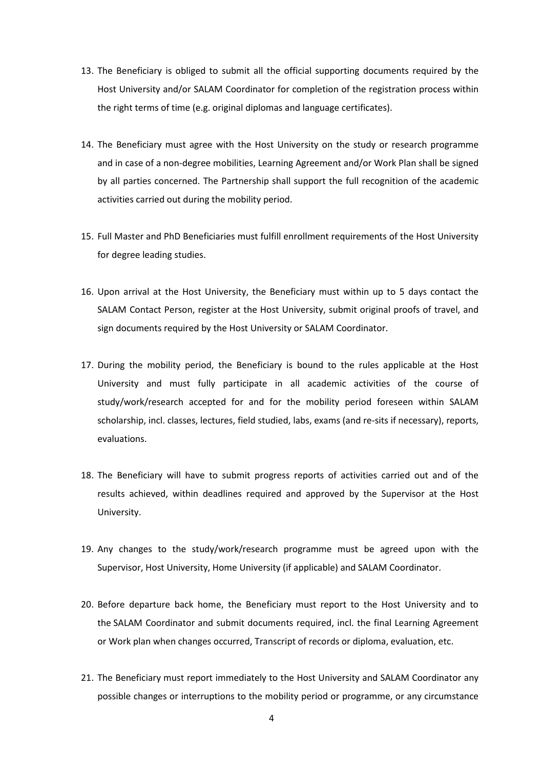- 13. The Beneficiary is obliged to submit all the official supporting documents required by the Host University and/or SALAM Coordinator for completion of the registration process within the right terms of time (e.g. original diplomas and language certificates).
- 14. The Beneficiary must agree with the Host University on the study or research programme and in case of a non-degree mobilities, Learning Agreement and/or Work Plan shall be signed by all parties concerned. The Partnership shall support the full recognition of the academic activities carried out during the mobility period.
- 15. Full Master and PhD Beneficiaries must fulfill enrollment requirements of the Host University for degree leading studies.
- 16. Upon arrival at the Host University, the Beneficiary must within up to 5 days contact the SALAM Contact Person, register at the Host University, submit original proofs of travel, and sign documents required by the Host University or SALAM Coordinator.
- 17. During the mobility period, the Beneficiary is bound to the rules applicable at the Host University and must fully participate in all academic activities of the course of study/work/research accepted for and for the mobility period foreseen within SALAM scholarship, incl. classes, lectures, field studied, labs, exams (and re-sits if necessary), reports, evaluations.
- 18. The Beneficiary will have to submit progress reports of activities carried out and of the results achieved, within deadlines required and approved by the Supervisor at the Host University.
- 19. Any changes to the study/work/research programme must be agreed upon with the Supervisor, Host University, Home University (if applicable) and SALAM Coordinator.
- 20. Before departure back home, the Beneficiary must report to the Host University and to the SALAM Coordinator and submit documents required, incl. the final Learning Agreement or Work plan when changes occurred, Transcript of records or diploma, evaluation, etc.
- 21. The Beneficiary must report immediately to the Host University and SALAM Coordinator any possible changes or interruptions to the mobility period or programme, or any circumstance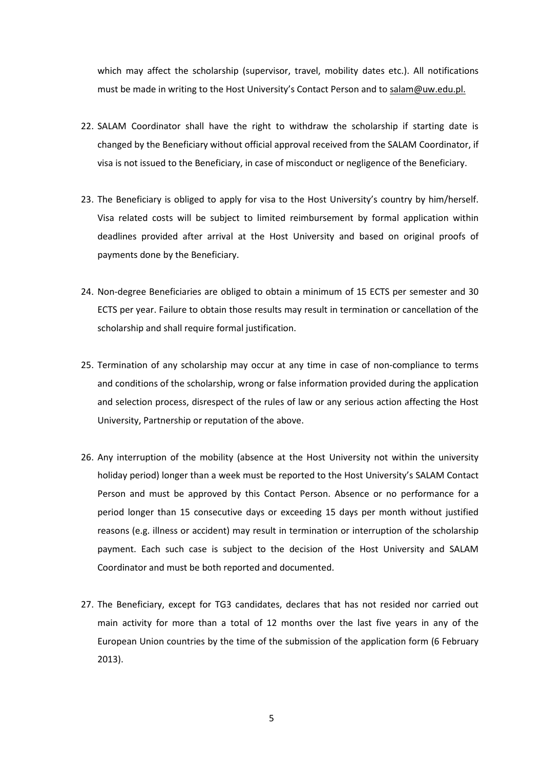which may affect the scholarship (supervisor, travel, mobility dates etc.). All notifications must be made in writing to the Host University's Contact Person and to salam@uw.edu.pl.

- 22. SALAM Coordinator shall have the right to withdraw the scholarship if starting date is changed by the Beneficiary without official approval received from the SALAM Coordinator, if visa is not issued to the Beneficiary, in case of misconduct or negligence of the Beneficiary.
- 23. The Beneficiary is obliged to apply for visa to the Host University's country by him/herself. Visa related costs will be subject to limited reimbursement by formal application within deadlines provided after arrival at the Host University and based on original proofs of payments done by the Beneficiary.
- 24. Non-degree Beneficiaries are obliged to obtain a minimum of 15 ECTS per semester and 30 ECTS per year. Failure to obtain those results may result in termination or cancellation of the scholarship and shall require formal justification.
- 25. Termination of any scholarship may occur at any time in case of non-compliance to terms and conditions of the scholarship, wrong or false information provided during the application and selection process, disrespect of the rules of law or any serious action affecting the Host University, Partnership or reputation of the above.
- 26. Any interruption of the mobility (absence at the Host University not within the university holiday period) longer than a week must be reported to the Host University's SALAM Contact Person and must be approved by this Contact Person. Absence or no performance for a period longer than 15 consecutive days or exceeding 15 days per month without justified reasons (e.g. illness or accident) may result in termination or interruption of the scholarship payment. Each such case is subject to the decision of the Host University and SALAM Coordinator and must be both reported and documented.
- 27. The Beneficiary, except for TG3 candidates, declares that has not resided nor carried out main activity for more than a total of 12 months over the last five years in any of the European Union countries by the time of the submission of the application form (6 February 2013).